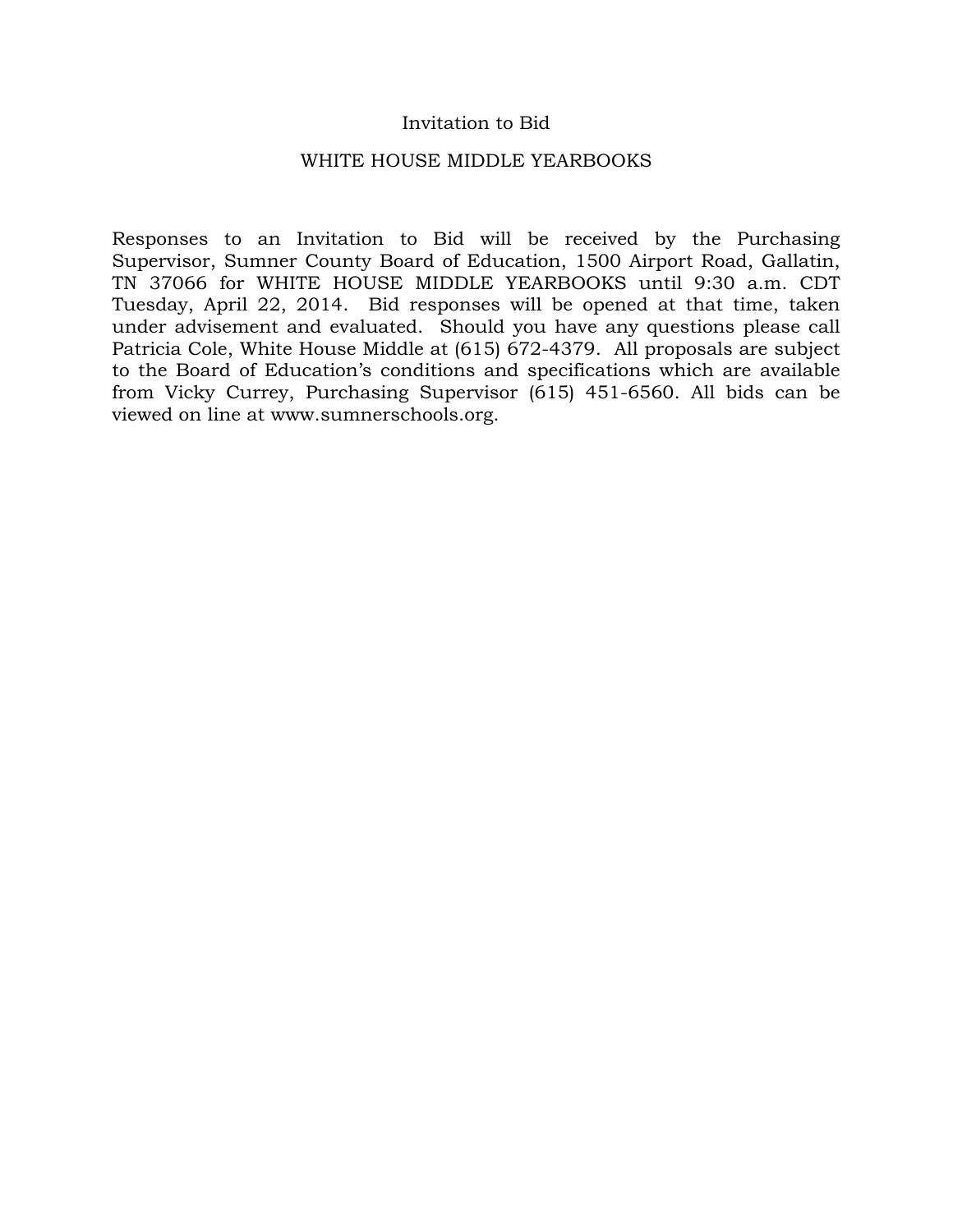### Invitation to Bid

#### WHITE HOUSE MIDDLE YEARBOOKS

Responses to an Invitation to Bid will be received by the Purchasing Supervisor, Sumner County Board of Education, 1500 Airport Road, Gallatin, TN 37066 for WHITE HOUSE MIDDLE YEARBOOKS until 9:30 a.m. CDT Tuesday, April 22, 2014. Bid responses will be opened at that time, taken under advisement and evaluated. Should you have any questions please call Patricia Cole, White House Middle at (615) 672-4379. All proposals are subject to the Board of Education's conditions and specifications which are available from Vicky Currey, Purchasing Supervisor (615) 451-6560. All bids can be viewed on line at www.sumnerschools.org.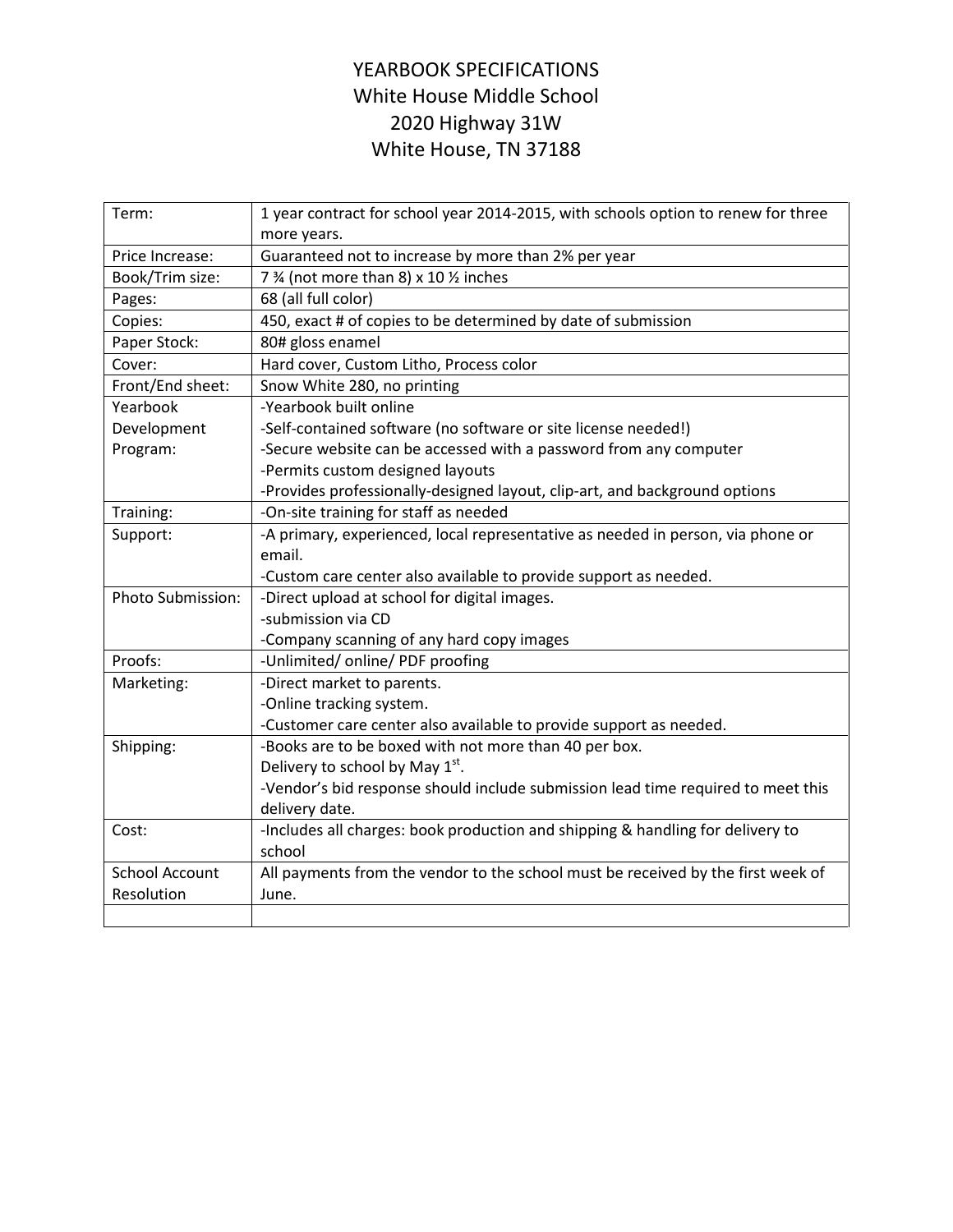## YEARBOOK SPECIFICATIONS White House Middle School 2020 Highway 31W White House, TN 37188

| Term:                 | 1 year contract for school year 2014-2015, with schools option to renew for three<br>more years. |  |  |
|-----------------------|--------------------------------------------------------------------------------------------------|--|--|
| Price Increase:       | Guaranteed not to increase by more than 2% per year                                              |  |  |
| Book/Trim size:       | 7 % (not more than 8) x 10 % inches                                                              |  |  |
| Pages:                | 68 (all full color)                                                                              |  |  |
| Copies:               | 450, exact # of copies to be determined by date of submission                                    |  |  |
| Paper Stock:          | 80# gloss enamel                                                                                 |  |  |
| Cover:                | Hard cover, Custom Litho, Process color                                                          |  |  |
| Front/End sheet:      | Snow White 280, no printing                                                                      |  |  |
| Yearbook              | -Yearbook built online                                                                           |  |  |
| Development           | -Self-contained software (no software or site license needed!)                                   |  |  |
| Program:              | -Secure website can be accessed with a password from any computer                                |  |  |
|                       | -Permits custom designed layouts                                                                 |  |  |
|                       | -Provides professionally-designed layout, clip-art, and background options                       |  |  |
| Training:             | -On-site training for staff as needed                                                            |  |  |
| Support:              | -A primary, experienced, local representative as needed in person, via phone or                  |  |  |
|                       | email.                                                                                           |  |  |
|                       | -Custom care center also available to provide support as needed.                                 |  |  |
| Photo Submission:     | -Direct upload at school for digital images.                                                     |  |  |
|                       | -submission via CD                                                                               |  |  |
|                       | -Company scanning of any hard copy images                                                        |  |  |
| Proofs:               | -Unlimited/online/PDF proofing                                                                   |  |  |
| Marketing:            | -Direct market to parents.                                                                       |  |  |
|                       | -Online tracking system.                                                                         |  |  |
|                       | -Customer care center also available to provide support as needed.                               |  |  |
| Shipping:             | -Books are to be boxed with not more than 40 per box.                                            |  |  |
|                       | Delivery to school by May 1st.                                                                   |  |  |
|                       | -Vendor's bid response should include submission lead time required to meet this                 |  |  |
|                       | delivery date.                                                                                   |  |  |
| Cost:                 | -Includes all charges: book production and shipping & handling for delivery to                   |  |  |
|                       | school                                                                                           |  |  |
| <b>School Account</b> | All payments from the vendor to the school must be received by the first week of                 |  |  |
| Resolution            | June.                                                                                            |  |  |
|                       |                                                                                                  |  |  |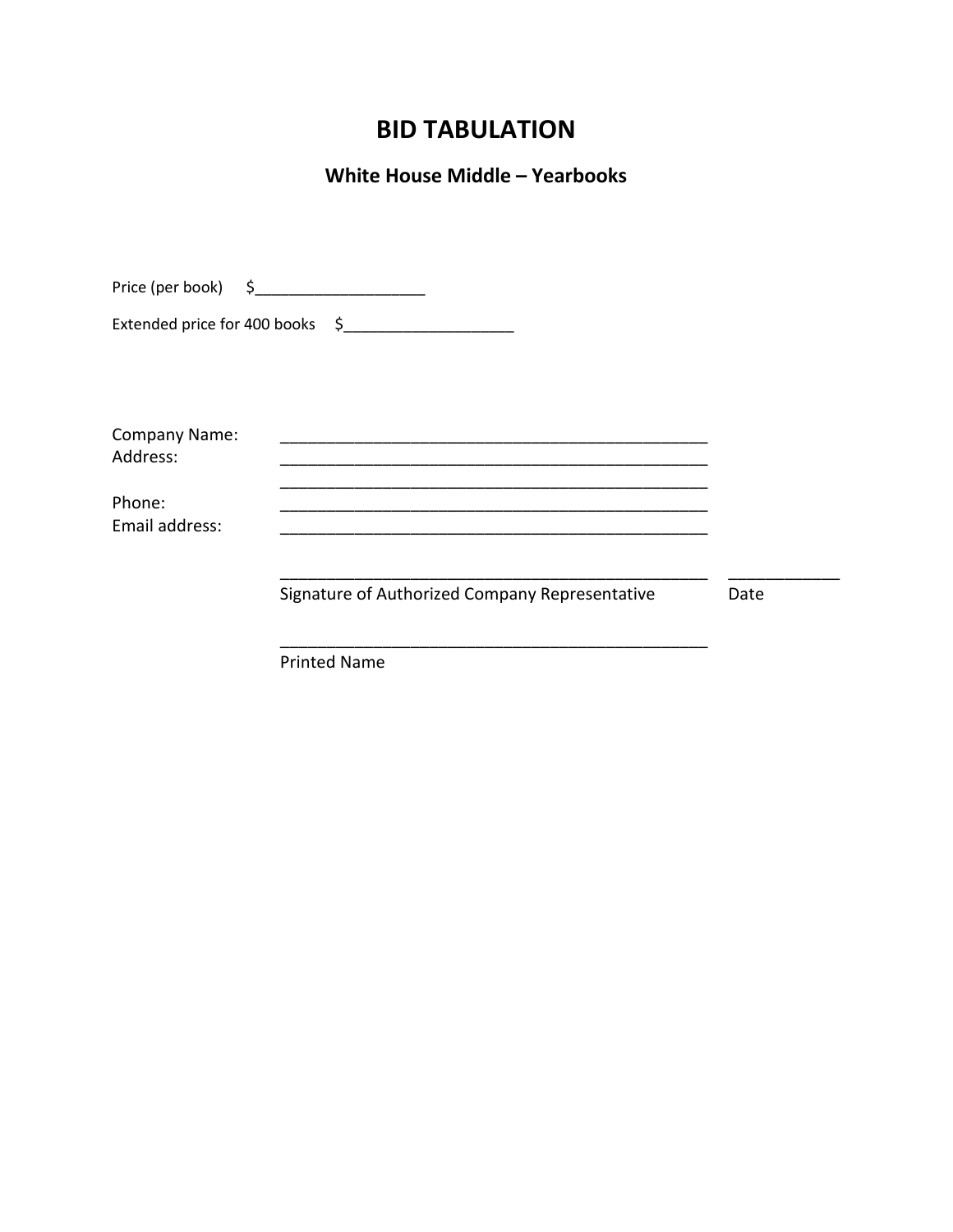# **BID TABULATION**

# **White House Middle – Yearbooks**

|                           | Price (per book) $\begin{matrix} 5 \\ 2 \end{matrix}$ |      |
|---------------------------|-------------------------------------------------------|------|
|                           |                                                       |      |
| Company Name:<br>Address: |                                                       |      |
| Phone:<br>Email address:  |                                                       |      |
|                           | Signature of Authorized Company Representative        | Date |
|                           | <b>Printed Name</b>                                   |      |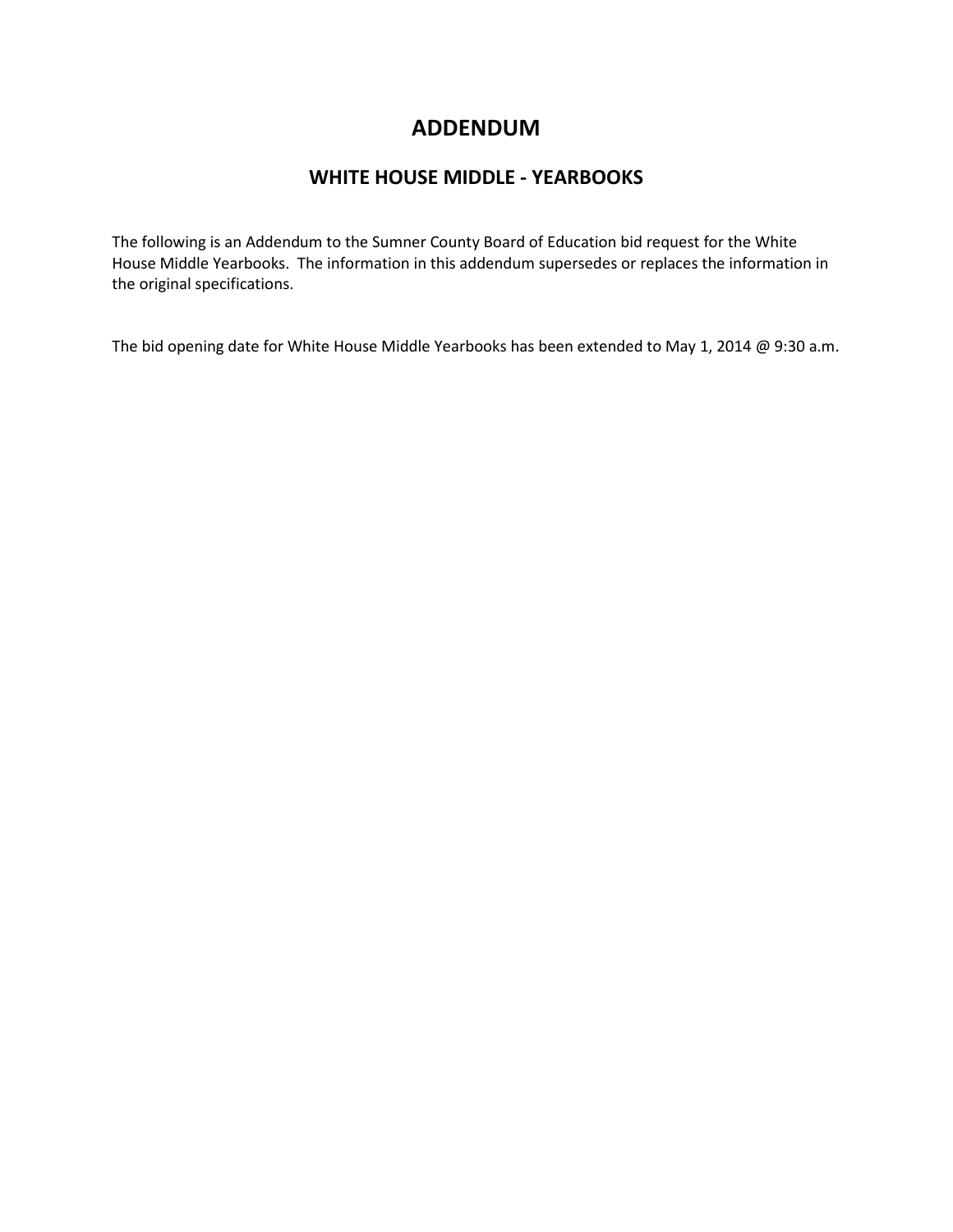## **ADDENDUM**

## **WHITE HOUSE MIDDLE - YEARBOOKS**

The following is an Addendum to the Sumner County Board of Education bid request for the White House Middle Yearbooks. The information in this addendum supersedes or replaces the information in the original specifications.

The bid opening date for White House Middle Yearbooks has been extended to May 1, 2014 @ 9:30 a.m.